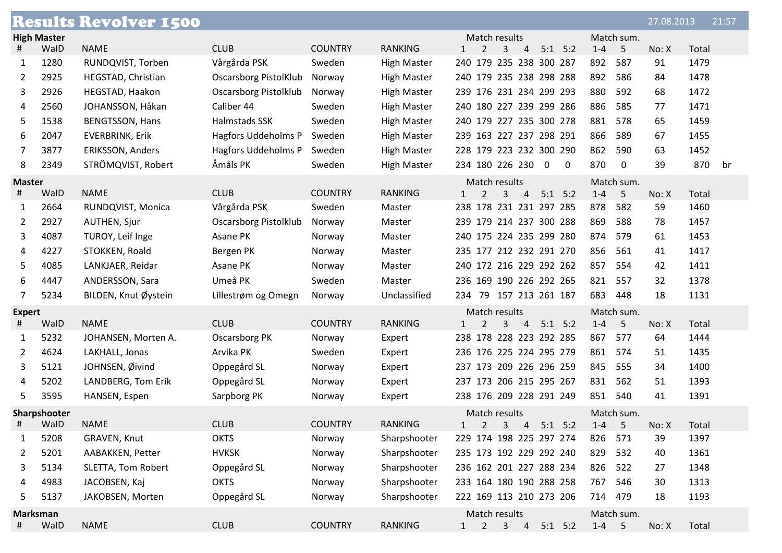|               |                    | <b>Results Revolver 1500</b> |                              |                |                    |                                                                                |                    | 27.08.2013 | 21:57     |
|---------------|--------------------|------------------------------|------------------------------|----------------|--------------------|--------------------------------------------------------------------------------|--------------------|------------|-----------|
|               | <b>High Master</b> |                              |                              |                |                    | Match results                                                                  | Match sum.         |            |           |
| #             | WalD               | <b>NAME</b>                  | <b>CLUB</b>                  | <b>COUNTRY</b> | <b>RANKING</b>     | $5:1$ $5:2$<br>2<br>3<br>4<br>$\mathbf{1}$                                     | $1 - 4$<br>5       | No: X      | Total     |
| 1             | 1280               | RUNDQVIST, Torben            | Vårgårda PSK                 | Sweden         | <b>High Master</b> | 240 179 235 238 300 287                                                        | 892<br>587         | 91         | 1479      |
| 2             | 2925               | HEGSTAD, Christian           | <b>Oscarsborg PistolKlub</b> | Norway         | <b>High Master</b> | 240 179 235 238 298 288                                                        | 892<br>586         | 84         | 1478      |
| 3             | 2926               | HEGSTAD, Haakon              | Oscarsborg Pistolklub        | Norway         | <b>High Master</b> | 239 176 231 234 299 293                                                        | 880<br>592         | 68         | 1472      |
| 4             | 2560               | JOHANSSON, Håkan             | Caliber 44                   | Sweden         | <b>High Master</b> | 240 180 227 239 299 286                                                        | 886<br>585         | 77         | 1471      |
| 5             | 1538               | <b>BENGTSSON, Hans</b>       | Halmstads SSK                | Sweden         | <b>High Master</b> | 240 179 227 235 300 278                                                        | 881<br>578         | 65         | 1459      |
| 6             | 2047               | <b>EVERBRINK, Erik</b>       | <b>Hagfors Uddeholms P</b>   | Sweden         | <b>High Master</b> | 239 163 227 237 298 291                                                        | 866<br>589         | 67         | 1455      |
| 7             | 3877               | <b>ERIKSSON, Anders</b>      | Hagfors Uddeholms P          | Sweden         | <b>High Master</b> | 228 179 223 232 300 290                                                        | 862<br>590         | 63         | 1452      |
| 8             | 2349               | STRÖMQVIST, Robert           | Åmåls PK                     | Sweden         | <b>High Master</b> | 234 180 226 230<br>$\overline{0}$<br>$\mathbf 0$                               | 870<br>$\mathbf 0$ | 39         | 870<br>br |
| <b>Master</b> |                    |                              |                              |                |                    | Match results                                                                  | Match sum.         |            |           |
| #             | WalD               | <b>NAME</b>                  | <b>CLUB</b>                  | <b>COUNTRY</b> | <b>RANKING</b>     | 5:1<br>2<br>3<br>$\overline{4}$<br>5:2<br>$\mathbf{1}$                         | $1 - 4$<br>5       | No: X      | Total     |
| 1             | 2664               | RUNDQVIST, Monica            | Vårgårda PSK                 | Sweden         | Master             | 238 178 231 231 297 285                                                        | 878<br>582         | 59         | 1460      |
| 2             | 2927               | AUTHEN, Sjur                 | Oscarsborg Pistolklub        | Norway         | Master             | 239 179 214 237 300 288                                                        | 869<br>588         | 78         | 1457      |
| 3             | 4087               | TUROY, Leif Inge             | Asane PK                     | Norway         | Master             | 240 175 224 235 299 280                                                        | 874<br>579         | 61         | 1453      |
| 4             | 4227               | STOKKEN, Roald               | Bergen PK                    | Norway         | Master             | 235 177 212 232 291 270                                                        | 856<br>561         | 41         | 1417      |
| 5             | 4085               | LANKJAER, Reidar             | Asane PK                     | Norway         | Master             | 240 172 216 229 292 262                                                        | 857<br>554         | 42         | 1411      |
| 6             | 4447               | ANDERSSON, Sara              | Umeå PK                      | Sweden         | Master             | 236 169 190 226 292 265                                                        | 821<br>557         | 32         | 1378      |
| 7             | 5234               | BILDEN, Knut Øystein         | Lillestrøm og Omegn          | Norway         | Unclassified       | 234 79 157 213 261 187                                                         | 683<br>448         | 18         | 1131      |
| <b>Expert</b> |                    |                              |                              |                |                    | Match results                                                                  | Match sum.         |            |           |
| #             | WalD               | <b>NAME</b>                  | <b>CLUB</b>                  | <b>COUNTRY</b> | <b>RANKING</b>     | $\overline{2}$<br>3 <sup>7</sup><br>$\overline{4}$<br>$5:1$ $5:2$<br>$\vert$ 1 | $1-4$<br>5         | No: X      | Total     |
| 1             | 5232               | JOHANSEN, Morten A.          | <b>Oscarsborg PK</b>         | Norway         | Expert             | 238 178 228 223 292 285                                                        | 867<br>577         | 64         | 1444      |
| $\mathbf{2}$  | 4624               | LAKHALL, Jonas               | Arvika PK                    | Sweden         | Expert             | 236 176 225 224 295 279                                                        | 861<br>574         | 51         | 1435      |
| 3             | 5121               | JOHNSEN, Øivind              | Oppegård SL                  | Norway         | Expert             | 237 173 209 226 296 259                                                        | 845<br>555         | 34         | 1400      |
| 4             | 5202               | LANDBERG, Tom Erik           | Oppegård SL                  | Norway         | Expert             | 237 173 206 215 295 267                                                        | 562<br>831         | 51         | 1393      |
| 5             | 3595               | HANSEN, Espen                | Sarpborg PK                  | Norway         | Expert             | 238 176 209 228 291 249                                                        | 851<br>540         | 41         | 1391      |
| Sharpshooter  |                    |                              |                              |                |                    | Match results                                                                  | Match sum.         |            |           |
|               | WalD               | <b>NAME</b>                  | <b>CLUB</b>                  | <b>COUNTRY</b> | <b>RANKING</b>     | $1 \quad 2 \quad 3 \quad 4 \quad 5:1 \quad 5:2$                                | $1 - 4$ 5          | No: X      | Total     |
| 1             | 5208               | GRAVEN, Knut                 | <b>OKTS</b>                  | Norway         | Sharpshooter       | 229 174 198 225 297 274                                                        | 826<br>571         | 39         | 1397      |
| 2             | 5201               | AABAKKEN, Petter             | <b>HVKSK</b>                 | Norway         | Sharpshooter       | 235 173 192 229 292 240                                                        | 829<br>532         | 40         | 1361      |
| 3             | 5134               | SLETTA, Tom Robert           | Oppegård SL                  | Norway         | Sharpshooter       | 236 162 201 227 288 234                                                        | 826<br>522         | 27         | 1348      |
| 4             | 4983               | JACOBSEN, Kaj                | <b>OKTS</b>                  | Norway         | Sharpshooter       | 233 164 180 190 288 258                                                        | 767<br>546         | 30         | 1313      |
| 5             | 5137               | JAKOBSEN, Morten             | Oppegård SL                  | Norway         | Sharpshooter       | 222 169 113 210 273 206                                                        | 479<br>714         | 18         | 1193      |
|               | Marksman           |                              |                              |                |                    | Match results                                                                  | Match sum.         |            |           |
| #             | WalD               | <b>NAME</b>                  | <b>CLUB</b>                  | <b>COUNTRY</b> | RANKING            | $2^{\circ}$<br>4 5:1 5:2<br>3 <sup>7</sup><br>$1 \quad$                        | $1-4$ 5            | No: X      | Total     |